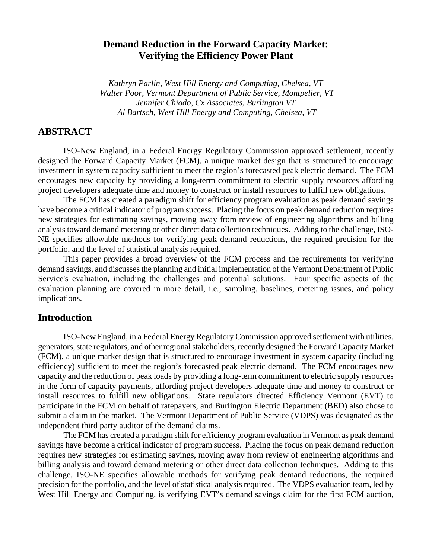# **Demand Reduction in the Forward Capacity Market: Verifying the Efficiency Power Plant**

*Kathryn Parlin, West Hill Energy and Computing, Chelsea, VT Walter Poor, Vermont Department of Public Service, Montpelier, VT Jennifer Chiodo, Cx Associates, Burlington VT Al Bartsch, West Hill Energy and Computing, Chelsea, VT* 

## **ABSTRACT**

 ISO-New England, in a Federal Energy Regulatory Commission approved settlement, recently designed the Forward Capacity Market (FCM), a unique market design that is structured to encourage investment in system capacity sufficient to meet the region's forecasted peak electric demand. The FCM encourages new capacity by providing a long-term commitment to electric supply resources affording project developers adequate time and money to construct or install resources to fulfill new obligations.

 The FCM has created a paradigm shift for efficiency program evaluation as peak demand savings have become a critical indicator of program success. Placing the focus on peak demand reduction requires new strategies for estimating savings, moving away from review of engineering algorithms and billing analysis toward demand metering or other direct data collection techniques. Adding to the challenge, ISO-NE specifies allowable methods for verifying peak demand reductions, the required precision for the portfolio, and the level of statistical analysis required.

 This paper provides a broad overview of the FCM process and the requirements for verifying demand savings, and discusses the planning and initial implementation of the Vermont Department of Public Service's evaluation, including the challenges and potential solutions. Four specific aspects of the evaluation planning are covered in more detail, i.e., sampling, baselines, metering issues, and policy implications.

### **Introduction**

ISO-New England, in a Federal Energy Regulatory Commission approved settlement with utilities, generators, state regulators, and other regional stakeholders, recently designed the Forward Capacity Market (FCM), a unique market design that is structured to encourage investment in system capacity (including efficiency) sufficient to meet the region's forecasted peak electric demand. The FCM encourages new capacity and the reduction of peak loads by providing a long-term commitment to electric supply resources in the form of capacity payments, affording project developers adequate time and money to construct or install resources to fulfill new obligations. State regulators directed Efficiency Vermont (EVT) to participate in the FCM on behalf of ratepayers, and Burlington Electric Department (BED) also chose to submit a claim in the market. The Vermont Department of Public Service (VDPS) was designated as the independent third party auditor of the demand claims.

 The FCM has created a paradigm shift for efficiency program evaluation in Vermont as peak demand savings have become a critical indicator of program success. Placing the focus on peak demand reduction requires new strategies for estimating savings, moving away from review of engineering algorithms and billing analysis and toward demand metering or other direct data collection techniques. Adding to this challenge, ISO-NE specifies allowable methods for verifying peak demand reductions, the required precision for the portfolio, and the level of statistical analysis required. The VDPS evaluation team, led by West Hill Energy and Computing, is verifying EVT's demand savings claim for the first FCM auction,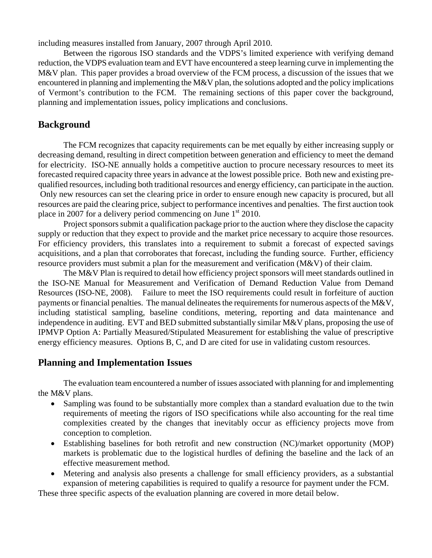including measures installed from January, 2007 through April 2010.

Between the rigorous ISO standards and the VDPS's limited experience with verifying demand reduction, the VDPS evaluation team and EVT have encountered a steep learning curve in implementing the M&V plan. This paper provides a broad overview of the FCM process, a discussion of the issues that we encountered in planning and implementing the M&V plan, the solutions adopted and the policy implications of Vermont's contribution to the FCM. The remaining sections of this paper cover the background, planning and implementation issues, policy implications and conclusions.

# **Background**

 The FCM recognizes that capacity requirements can be met equally by either increasing supply or decreasing demand, resulting in direct competition between generation and efficiency to meet the demand for electricity. ISO-NE annually holds a competitive auction to procure necessary resources to meet its forecasted required capacity three years in advance at the lowest possible price. Both new and existing prequalified resources, including both traditional resources and energy efficiency, can participate in the auction. Only new resources can set the clearing price in order to ensure enough new capacity is procured, but all resources are paid the clearing price, subject to performance incentives and penalties. The first auction took place in 2007 for a delivery period commencing on June  $1<sup>st</sup>$  2010.

 Project sponsors submit a qualification package prior to the auction where they disclose the capacity supply or reduction that they expect to provide and the market price necessary to acquire those resources. For efficiency providers, this translates into a requirement to submit a forecast of expected savings acquisitions, and a plan that corroborates that forecast, including the funding source. Further, efficiency resource providers must submit a plan for the measurement and verification (M&V) of their claim.

 The M&V Plan is required to detail how efficiency project sponsors will meet standards outlined in the ISO-NE Manual for Measurement and Verification of Demand Reduction Value from Demand Resources (ISO-NE, 2008). Failure to meet the ISO requirements could result in forfeiture of auction payments or financial penalties. The manual delineates the requirements for numerous aspects of the M&V, including statistical sampling, baseline conditions, metering, reporting and data maintenance and independence in auditing. EVT and BED submitted substantially similar M&V plans, proposing the use of IPMVP Option A: Partially Measured/Stipulated Measurement for establishing the value of prescriptive energy efficiency measures. Options B, C, and D are cited for use in validating custom resources.

## **Planning and Implementation Issues**

The evaluation team encountered a number of issues associated with planning for and implementing the M&V plans.

- Sampling was found to be substantially more complex than a standard evaluation due to the twin requirements of meeting the rigors of ISO specifications while also accounting for the real time complexities created by the changes that inevitably occur as efficiency projects move from conception to completion.
- Establishing baselines for both retrofit and new construction (NC)/market opportunity (MOP) markets is problematic due to the logistical hurdles of defining the baseline and the lack of an effective measurement method.
- Metering and analysis also presents a challenge for small efficiency providers, as a substantial expansion of metering capabilities is required to qualify a resource for payment under the FCM.

These three specific aspects of the evaluation planning are covered in more detail below.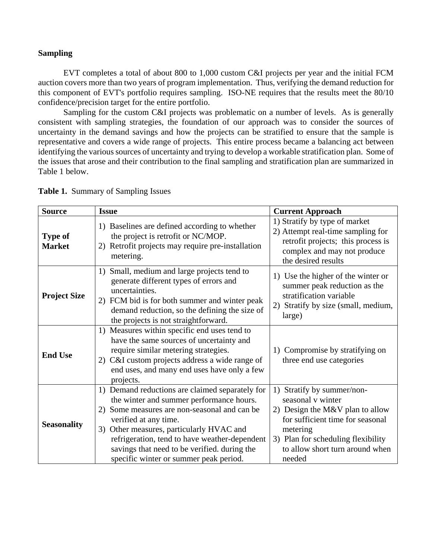### **Sampling**

 EVT completes a total of about 800 to 1,000 custom C&I projects per year and the initial FCM auction covers more than two years of program implementation. Thus, verifying the demand reduction for this component of EVT's portfolio requires sampling. ISO-NE requires that the results meet the 80/10 confidence/precision target for the entire portfolio.

 Sampling for the custom C&I projects was problematic on a number of levels. As is generally consistent with sampling strategies, the foundation of our approach was to consider the sources of uncertainty in the demand savings and how the projects can be stratified to ensure that the sample is representative and covers a wide range of projects. This entire process became a balancing act between identifying the various sources of uncertainty and trying to develop a workable stratification plan. Some of the issues that arose and their contribution to the final sampling and stratification plan are summarized in Table 1 below.

| <b>Source</b>                   | <b>Issue</b>                                                                                                                                                                                                                                                                                                                                                   | <b>Current Approach</b>                                                                                                                                                                                               |
|---------------------------------|----------------------------------------------------------------------------------------------------------------------------------------------------------------------------------------------------------------------------------------------------------------------------------------------------------------------------------------------------------------|-----------------------------------------------------------------------------------------------------------------------------------------------------------------------------------------------------------------------|
| <b>Type of</b><br><b>Market</b> | 1) Baselines are defined according to whether<br>the project is retrofit or NC/MOP.<br>2) Retrofit projects may require pre-installation<br>metering.                                                                                                                                                                                                          | 1) Stratify by type of market<br>2) Attempt real-time sampling for<br>retrofit projects; this process is<br>complex and may not produce<br>the desired results                                                        |
| <b>Project Size</b>             | Small, medium and large projects tend to<br>1)<br>generate different types of errors and<br>uncertainties.<br>2) FCM bid is for both summer and winter peak<br>demand reduction, so the defining the size of<br>the projects is not straightforward.                                                                                                           | 1) Use the higher of the winter or<br>summer peak reduction as the<br>stratification variable<br>2) Stratify by size (small, medium,<br>large)                                                                        |
| <b>End Use</b>                  | Measures within specific end uses tend to<br>1)<br>have the same sources of uncertainty and<br>require similar metering strategies.<br>C&I custom projects address a wide range of<br>2)<br>end uses, and many end uses have only a few<br>projects.                                                                                                           | 1) Compromise by stratifying on<br>three end use categories                                                                                                                                                           |
| <b>Seasonality</b>              | 1) Demand reductions are claimed separately for<br>the winter and summer performance hours.<br>Some measures are non-seasonal and can be<br>2)<br>verified at any time.<br>3) Other measures, particularly HVAC and<br>refrigeration, tend to have weather-dependent<br>savings that need to be verified. during the<br>specific winter or summer peak period. | 1) Stratify by summer/non-<br>seasonal v winter<br>2) Design the M&V plan to allow<br>for sufficient time for seasonal<br>metering<br>3) Plan for scheduling flexibility<br>to allow short turn around when<br>needed |

**Table 1.** Summary of Sampling Issues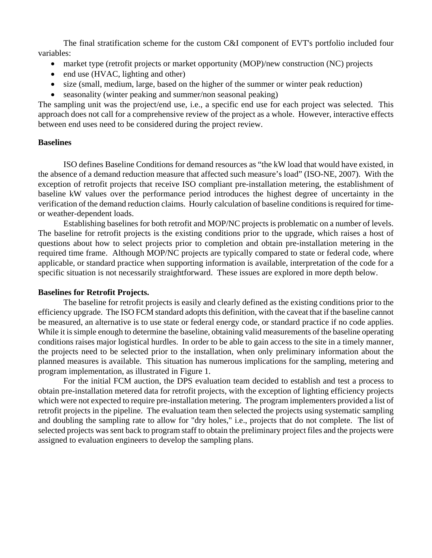The final stratification scheme for the custom C&I component of EVT's portfolio included four variables:

- market type (retrofit projects or market opportunity (MOP)/new construction (NC) projects
- end use (HVAC, lighting and other)
- size (small, medium, large, based on the higher of the summer or winter peak reduction)
- seasonality (winter peaking and summer/non seasonal peaking)

The sampling unit was the project/end use, i.e., a specific end use for each project was selected. This approach does not call for a comprehensive review of the project as a whole. However, interactive effects between end uses need to be considered during the project review.

### **Baselines**

ISO defines Baseline Conditions for demand resources as "the kW load that would have existed, in the absence of a demand reduction measure that affected such measure's load" (ISO-NE, 2007). With the exception of retrofit projects that receive ISO compliant pre-installation metering, the establishment of baseline kW values over the performance period introduces the highest degree of uncertainty in the verification of the demand reduction claims. Hourly calculation of baseline conditions is required for timeor weather-dependent loads.

Establishing baselines for both retrofit and MOP/NC projects is problematic on a number of levels. The baseline for retrofit projects is the existing conditions prior to the upgrade, which raises a host of questions about how to select projects prior to completion and obtain pre-installation metering in the required time frame. Although MOP/NC projects are typically compared to state or federal code, where applicable, or standard practice when supporting information is available, interpretation of the code for a specific situation is not necessarily straightforward. These issues are explored in more depth below.

### **Baselines for Retrofit Projects.**

The baseline for retrofit projects is easily and clearly defined as the existing conditions prior to the efficiency upgrade. The ISO FCM standard adopts this definition, with the caveat that if the baseline cannot be measured, an alternative is to use state or federal energy code, or standard practice if no code applies. While it is simple enough to determine the baseline, obtaining valid measurements of the baseline operating conditions raises major logistical hurdles. In order to be able to gain access to the site in a timely manner, the projects need to be selected prior to the installation, when only preliminary information about the planned measures is available. This situation has numerous implications for the sampling, metering and program implementation, as illustrated in Figure 1.

For the initial FCM auction, the DPS evaluation team decided to establish and test a process to obtain pre-installation metered data for retrofit projects, with the exception of lighting efficiency projects which were not expected to require pre-installation metering. The program implementers provided a list of retrofit projects in the pipeline. The evaluation team then selected the projects using systematic sampling and doubling the sampling rate to allow for "dry holes," i.e., projects that do not complete. The list of selected projects was sent back to program staff to obtain the preliminary project files and the projects were assigned to evaluation engineers to develop the sampling plans.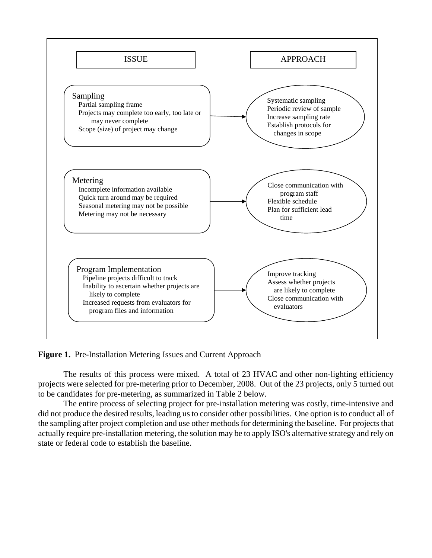

**Figure 1.** Pre-Installation Metering Issues and Current Approach

The results of this process were mixed. A total of 23 HVAC and other non-lighting efficiency projects were selected for pre-metering prior to December, 2008. Out of the 23 projects, only 5 turned out to be candidates for pre-metering, as summarized in Table 2 below.

The entire process of selecting project for pre-installation metering was costly, time-intensive and did not produce the desired results, leading us to consider other possibilities. One option is to conduct all of the sampling after project completion and use other methods for determining the baseline. For projects that actually require pre-installation metering, the solution may be to apply ISO's alternative strategy and rely on state or federal code to establish the baseline.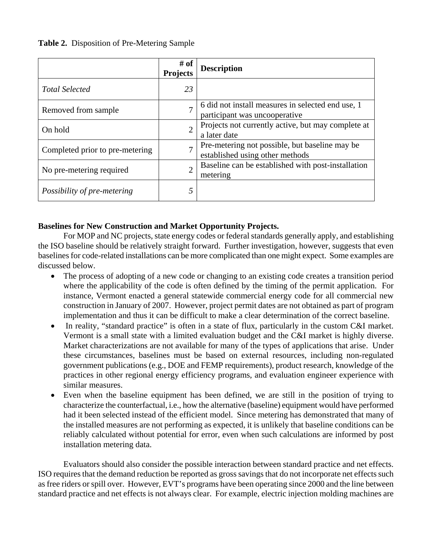### **Table 2.** Disposition of Pre-Metering Sample

|                                 | # of<br><b>Projects</b> | <b>Description</b>                                                                 |
|---------------------------------|-------------------------|------------------------------------------------------------------------------------|
| <b>Total Selected</b>           | 23                      |                                                                                    |
| Removed from sample.            |                         | 6 did not install measures in selected end use, 1<br>participant was uncooperative |
| On hold                         | $\overline{2}$          | Projects not currently active, but may complete at<br>a later date                 |
| Completed prior to pre-metering | $\mathcal{I}$           | Pre-metering not possible, but baseline may be<br>established using other methods  |
| No pre-metering required        | ↑                       | Baseline can be established with post-installation<br>metering                     |
| Possibility of pre-metering     | 5                       |                                                                                    |

### **Baselines for New Construction and Market Opportunity Projects.**

 For MOP and NC projects, state energy codes or federal standards generally apply, and establishing the ISO baseline should be relatively straight forward. Further investigation, however, suggests that even baselines for code-related installations can be more complicated than one might expect. Some examples are discussed below.

- The process of adopting of a new code or changing to an existing code creates a transition period where the applicability of the code is often defined by the timing of the permit application. For instance, Vermont enacted a general statewide commercial energy code for all commercial new construction in January of 2007. However, project permit dates are not obtained as part of program implementation and thus it can be difficult to make a clear determination of the correct baseline.
- In reality, "standard practice" is often in a state of flux, particularly in the custom C&I market. Vermont is a small state with a limited evaluation budget and the C&I market is highly diverse. Market characterizations are not available for many of the types of applications that arise. Under these circumstances, baselines must be based on external resources, including non-regulated government publications (e.g., DOE and FEMP requirements), product research, knowledge of the practices in other regional energy efficiency programs, and evaluation engineer experience with similar measures.
- Even when the baseline equipment has been defined, we are still in the position of trying to characterize the counterfactual, i.e., how the alternative (baseline) equipment would have performed had it been selected instead of the efficient model. Since metering has demonstrated that many of the installed measures are not performing as expected, it is unlikely that baseline conditions can be reliably calculated without potential for error, even when such calculations are informed by post installation metering data.

 Evaluators should also consider the possible interaction between standard practice and net effects. ISO requires that the demand reduction be reported as gross savings that do not incorporate net effects such as free riders or spill over. However, EVT's programs have been operating since 2000 and the line between standard practice and net effects is not always clear. For example, electric injection molding machines are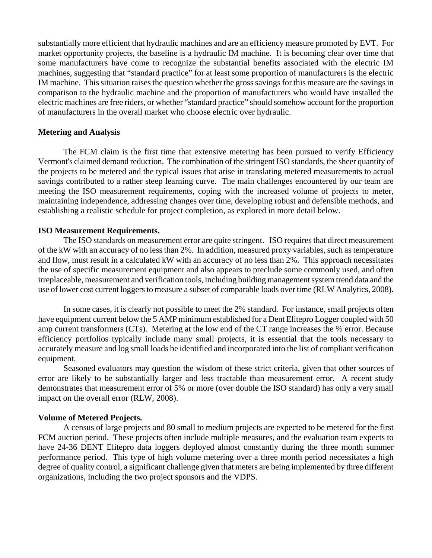substantially more efficient that hydraulic machines and are an efficiency measure promoted by EVT. For market opportunity projects, the baseline is a hydraulic IM machine. It is becoming clear over time that some manufacturers have come to recognize the substantial benefits associated with the electric IM machines, suggesting that "standard practice" for at least some proportion of manufacturers is the electric IM machine. This situation raises the question whether the gross savings for this measure are the savings in comparison to the hydraulic machine and the proportion of manufacturers who would have installed the electric machines are free riders, or whether "standard practice" should somehow account for the proportion of manufacturers in the overall market who choose electric over hydraulic.

#### **Metering and Analysis**

 The FCM claim is the first time that extensive metering has been pursued to verify Efficiency Vermont's claimed demand reduction. The combination of the stringent ISO standards, the sheer quantity of the projects to be metered and the typical issues that arise in translating metered measurements to actual savings contributed to a rather steep learning curve. The main challenges encountered by our team are meeting the ISO measurement requirements, coping with the increased volume of projects to meter, maintaining independence, addressing changes over time, developing robust and defensible methods, and establishing a realistic schedule for project completion, as explored in more detail below.

#### **ISO Measurement Requirements.**

 The ISO standards on measurement error are quite stringent. ISO requires that direct measurement of the kW with an accuracy of no less than 2%. In addition, measured proxy variables, such as temperature and flow, must result in a calculated kW with an accuracy of no less than 2%. This approach necessitates the use of specific measurement equipment and also appears to preclude some commonly used, and often irreplaceable, measurement and verification tools, including building management system trend data and the use of lower cost current loggers to measure a subset of comparable loads over time (RLW Analytics, 2008).

 In some cases, it is clearly not possible to meet the 2% standard. For instance, small projects often have equipment current below the 5 AMP minimum established for a Dent Elitepro Logger coupled with 50 amp current transformers (CTs). Metering at the low end of the CT range increases the % error. Because efficiency portfolios typically include many small projects, it is essential that the tools necessary to accurately measure and log small loads be identified and incorporated into the list of compliant verification equipment.

 Seasoned evaluators may question the wisdom of these strict criteria, given that other sources of error are likely to be substantially larger and less tractable than measurement error. A recent study demonstrates that measurement error of 5% or more (over double the ISO standard) has only a very small impact on the overall error (RLW, 2008).

#### **Volume of Metered Projects.**

 A census of large projects and 80 small to medium projects are expected to be metered for the first FCM auction period. These projects often include multiple measures, and the evaluation team expects to have 24-36 DENT Elitepro data loggers deployed almost constantly during the three month summer performance period. This type of high volume metering over a three month period necessitates a high degree of quality control, a significant challenge given that meters are being implemented by three different organizations, including the two project sponsors and the VDPS.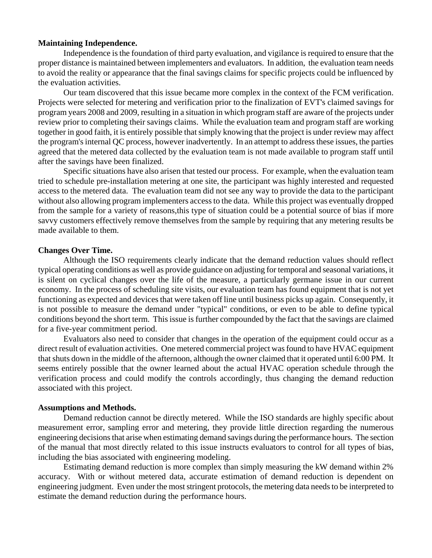#### **Maintaining Independence.**

 Independence is the foundation of third party evaluation, and vigilance is required to ensure that the proper distance is maintained between implementers and evaluators. In addition, the evaluation team needs to avoid the reality or appearance that the final savings claims for specific projects could be influenced by the evaluation activities.

 Our team discovered that this issue became more complex in the context of the FCM verification. Projects were selected for metering and verification prior to the finalization of EVT's claimed savings for program years 2008 and 2009, resulting in a situation in which program staff are aware of the projects under review prior to completing their savings claims. While the evaluation team and program staff are working together in good faith, it is entirely possible that simply knowing that the project is under review may affect the program's internal QC process, however inadvertently. In an attempt to address these issues, the parties agreed that the metered data collected by the evaluation team is not made available to program staff until after the savings have been finalized.

 Specific situations have also arisen that tested our process. For example, when the evaluation team tried to schedule pre-installation metering at one site, the participant was highly interested and requested access to the metered data. The evaluation team did not see any way to provide the data to the participant without also allowing program implementers access to the data. While this project was eventually dropped from the sample for a variety of reasons,this type of situation could be a potential source of bias if more savvy customers effectively remove themselves from the sample by requiring that any metering results be made available to them.

#### **Changes Over Time.**

 Although the ISO requirements clearly indicate that the demand reduction values should reflect typical operating conditions as well as provide guidance on adjusting for temporal and seasonal variations, it is silent on cyclical changes over the life of the measure, a particularly germane issue in our current economy. In the process of scheduling site visits, our evaluation team has found equipment that is not yet functioning as expected and devices that were taken off line until business picks up again. Consequently, it is not possible to measure the demand under "typical" conditions, or even to be able to define typical conditions beyond the short term. This issue is further compounded by the fact that the savings are claimed for a five-year commitment period.

 Evaluators also need to consider that changes in the operation of the equipment could occur as a direct result of evaluation activities. One metered commercial project was found to have HVAC equipment that shuts down in the middle of the afternoon, although the owner claimed that it operated until 6:00 PM. It seems entirely possible that the owner learned about the actual HVAC operation schedule through the verification process and could modify the controls accordingly, thus changing the demand reduction associated with this project.

#### **Assumptions and Methods.**

 Demand reduction cannot be directly metered. While the ISO standards are highly specific about measurement error, sampling error and metering, they provide little direction regarding the numerous engineering decisions that arise when estimating demand savings during the performance hours. The section of the manual that most directly related to this issue instructs evaluators to control for all types of bias, including the bias associated with engineering modeling.

 Estimating demand reduction is more complex than simply measuring the kW demand within 2% accuracy. With or without metered data, accurate estimation of demand reduction is dependent on engineering judgment. Even under the most stringent protocols, the metering data needs to be interpreted to estimate the demand reduction during the performance hours.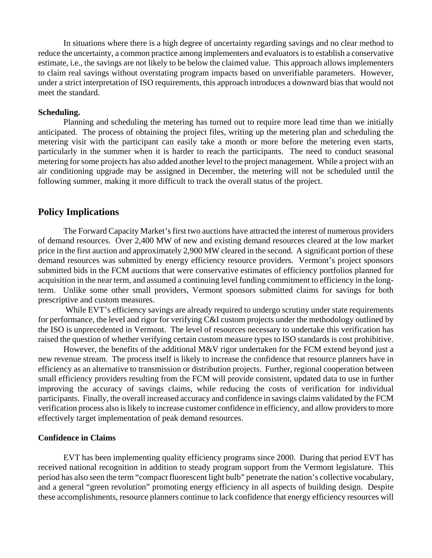In situations where there is a high degree of uncertainty regarding savings and no clear method to reduce the uncertainty, a common practice among implementers and evaluators is to establish a conservative estimate, i.e., the savings are not likely to be below the claimed value. This approach allows implementers to claim real savings without overstating program impacts based on unverifiable parameters. However, under a strict interpretation of ISO requirements, this approach introduces a downward bias that would not meet the standard.

#### **Scheduling.**

 Planning and scheduling the metering has turned out to require more lead time than we initially anticipated. The process of obtaining the project files, writing up the metering plan and scheduling the metering visit with the participant can easily take a month or more before the metering even starts, particularly in the summer when it is harder to reach the participants. The need to conduct seasonal metering for some projects has also added another level to the project management. While a project with an air conditioning upgrade may be assigned in December, the metering will not be scheduled until the following summer, making it more difficult to track the overall status of the project.

#### **Policy Implications**

 The Forward Capacity Market's first two auctions have attracted the interest of numerous providers of demand resources. Over 2,400 MW of new and existing demand resources cleared at the low market price in the first auction and approximately 2,900 MW cleared in the second. A significant portion of these demand resources was submitted by energy efficiency resource providers. Vermont's project sponsors submitted bids in the FCM auctions that were conservative estimates of efficiency portfolios planned for acquisition in the near term, and assumed a continuing level funding commitment to efficiency in the longterm. Unlike some other small providers, Vermont sponsors submitted claims for savings for both prescriptive and custom measures.

While EVT's efficiency savings are already required to undergo scrutiny under state requirements for performance, the level and rigor for verifying C&I custom projects under the methodology outlined by the ISO is unprecedented in Vermont. The level of resources necessary to undertake this verification has raised the question of whether verifying certain custom measure types to ISO standards is cost prohibitive.

However, the benefits of the additional M&V rigor undertaken for the FCM extend beyond just a new revenue stream. The process itself is likely to increase the confidence that resource planners have in efficiency as an alternative to transmission or distribution projects. Further, regional cooperation between small efficiency providers resulting from the FCM will provide consistent, updated data to use in further improving the accuracy of savings claims, while reducing the costs of verification for individual participants. Finally, the overall increased accuracy and confidence in savings claims validated by the FCM verification process also is likely to increase customer confidence in efficiency, and allow providers to more effectively target implementation of peak demand resources.

### **Confidence in Claims**

 EVT has been implementing quality efficiency programs since 2000. During that period EVT has received national recognition in addition to steady program support from the Vermont legislature. This period has also seen the term "compact fluorescent light bulb" penetrate the nation's collective vocabulary, and a general "green revolution" promoting energy efficiency in all aspects of building design. Despite these accomplishments, resource planners continue to lack confidence that energy efficiency resources will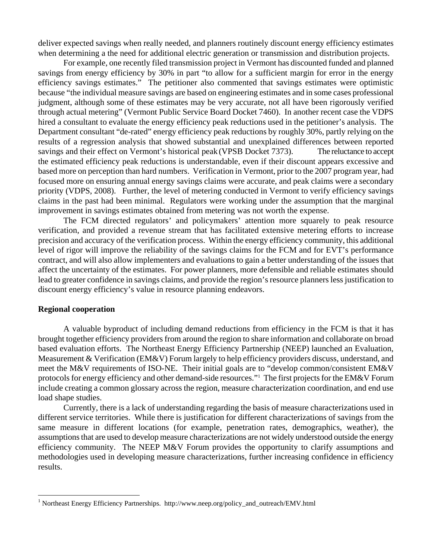deliver expected savings when really needed, and planners routinely discount energy efficiency estimates when determining a the need for additional electric generation or transmission and distribution projects.

For example, one recently filed transmission project in Vermont has discounted funded and planned savings from energy efficiency by 30% in part "to allow for a sufficient margin for error in the energy efficiency savings estimates." The petitioner also commented that savings estimates were optimistic because "the individual measure savings are based on engineering estimates and in some cases professional judgment, although some of these estimates may be very accurate, not all have been rigorously verified through actual metering" (Vermont Public Service Board Docket 7460). In another recent case the VDPS hired a consultant to evaluate the energy efficiency peak reductions used in the petitioner's analysis. The Department consultant "de-rated" energy efficiency peak reductions by roughly 30%, partly relying on the results of a regression analysis that showed substantial and unexplained differences between reported savings and their effect on Vermont's historical peak (VPSB Docket 7373). The reluctance to accept the estimated efficiency peak reductions is understandable, even if their discount appears excessive and based more on perception than hard numbers. Verification in Vermont, prior to the 2007 program year, had focused more on ensuring annual energy savings claims were accurate, and peak claims were a secondary priority (VDPS, 2008). Further, the level of metering conducted in Vermont to verify efficiency savings claims in the past had been minimal. Regulators were working under the assumption that the marginal improvement in savings estimates obtained from metering was not worth the expense.

The FCM directed regulators' and policymakers' attention more squarely to peak resource verification, and provided a revenue stream that has facilitated extensive metering efforts to increase precision and accuracy of the verification process. Within the energy efficiency community, this additional level of rigor will improve the reliability of the savings claims for the FCM and for EVT's performance contract, and will also allow implementers and evaluations to gain a better understanding of the issues that affect the uncertainty of the estimates. For power planners, more defensible and reliable estimates should lead to greater confidence in savings claims, and provide the region's resource planners less justification to discount energy efficiency's value in resource planning endeavors.

#### **Regional cooperation**

<u>.</u>

 A valuable byproduct of including demand reductions from efficiency in the FCM is that it has brought together efficiency providers from around the region to share information and collaborate on broad based evaluation efforts. The Northeast Energy Efficiency Partnership (NEEP) launched an Evaluation, Measurement & Verification (EM&V) Forum largely to help efficiency providers discuss, understand, and meet the M&V requirements of ISO-NE. Their initial goals are to "develop common/consistent EM&V protocols for energy efficiency and other demand-side resources."<sup>[1](#page-9-0)</sup> The first projects for the EM&V Forum include creating a common glossary across the region, measure characterization coordination, and end use load shape studies.

 Currently, there is a lack of understanding regarding the basis of measure characterizations used in different service territories. While there is justification for different characterizations of savings from the same measure in different locations (for example, penetration rates, demographics, weather), the assumptions that are used to develop measure characterizations are not widely understood outside the energy efficiency community. The NEEP M&V Forum provides the opportunity to clarify assumptions and methodologies used in developing measure characterizations, further increasing confidence in efficiency results.

<span id="page-9-0"></span><sup>&</sup>lt;sup>1</sup> Northeast Energy Efficiency Partnerships. http://www.neep.org/policy\_and\_outreach/EMV.html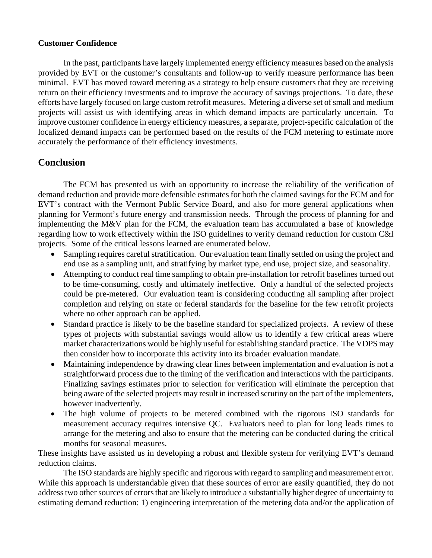### **Customer Confidence**

 In the past, participants have largely implemented energy efficiency measures based on the analysis provided by EVT or the customer's consultants and follow-up to verify measure performance has been minimal. EVT has moved toward metering as a strategy to help ensure customers that they are receiving return on their efficiency investments and to improve the accuracy of savings projections. To date, these efforts have largely focused on large custom retrofit measures. Metering a diverse set of small and medium projects will assist us with identifying areas in which demand impacts are particularly uncertain. To improve customer confidence in energy efficiency measures, a separate, project-specific calculation of the localized demand impacts can be performed based on the results of the FCM metering to estimate more accurately the performance of their efficiency investments.

# **Conclusion**

 The FCM has presented us with an opportunity to increase the reliability of the verification of demand reduction and provide more defensible estimates for both the claimed savings for the FCM and for EVT's contract with the Vermont Public Service Board, and also for more general applications when planning for Vermont's future energy and transmission needs. Through the process of planning for and implementing the M&V plan for the FCM, the evaluation team has accumulated a base of knowledge regarding how to work effectively within the ISO guidelines to verify demand reduction for custom C&I projects. Some of the critical lessons learned are enumerated below.

- Sampling requires careful stratification. Our evaluation team finally settled on using the project and end use as a sampling unit, and stratifying by market type, end use, project size, and seasonality.
- Attempting to conduct real time sampling to obtain pre-installation for retrofit baselines turned out to be time-consuming, costly and ultimately ineffective. Only a handful of the selected projects could be pre-metered. Our evaluation team is considering conducting all sampling after project completion and relying on state or federal standards for the baseline for the few retrofit projects where no other approach can be applied.
- Standard practice is likely to be the baseline standard for specialized projects. A review of these types of projects with substantial savings would allow us to identify a few critical areas where market characterizations would be highly useful for establishing standard practice. The VDPS may then consider how to incorporate this activity into its broader evaluation mandate.
- Maintaining independence by drawing clear lines between implementation and evaluation is not a straightforward process due to the timing of the verification and interactions with the participants. Finalizing savings estimates prior to selection for verification will eliminate the perception that being aware of the selected projects may result in increased scrutiny on the part of the implementers, however inadvertently.
- The high volume of projects to be metered combined with the rigorous ISO standards for measurement accuracy requires intensive QC. Evaluators need to plan for long leads times to arrange for the metering and also to ensure that the metering can be conducted during the critical months for seasonal measures.

These insights have assisted us in developing a robust and flexible system for verifying EVT's demand reduction claims.

The ISO standards are highly specific and rigorous with regard to sampling and measurement error. While this approach is understandable given that these sources of error are easily quantified, they do not address two other sources of errors that are likely to introduce a substantially higher degree of uncertainty to estimating demand reduction: 1) engineering interpretation of the metering data and/or the application of